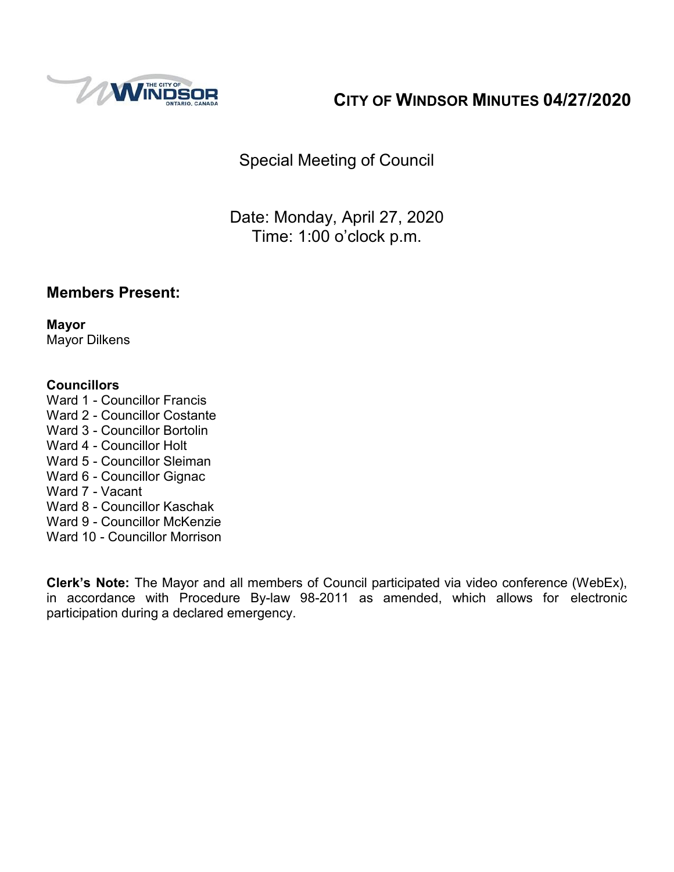

# **CITY OF WINDSOR MINUTES 04/27/2020**

Special Meeting of Council

Date: Monday, April 27, 2020 Time: 1:00 o'clock p.m.

## **Members Present:**

**Mayor** Mayor Dilkens

#### **Councillors**

- Ward 1 Councillor Francis
- Ward 2 Councillor Costante
- Ward 3 Councillor Bortolin
- Ward 4 Councillor Holt
- Ward 5 Councillor Sleiman
- Ward 6 Councillor Gignac
- Ward 7 Vacant
- Ward 8 Councillor Kaschak
- Ward 9 Councillor McKenzie
- Ward 10 Councillor Morrison

**Clerk's Note:** The Mayor and all members of Council participated via video conference (WebEx), in accordance with Procedure By-law 98-2011 as amended, which allows for electronic participation during a declared emergency.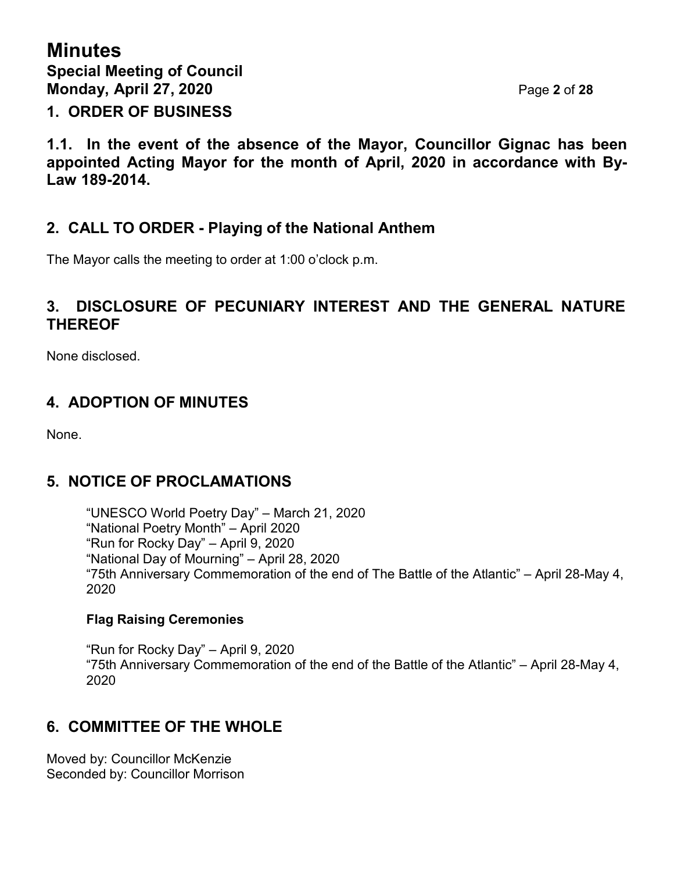**1.1. In the event of the absence of the Mayor, Councillor Gignac has been appointed Acting Mayor for the month of April, 2020 in accordance with By-Law 189-2014.**

## **2. CALL TO ORDER - Playing of the National Anthem**

The Mayor calls the meeting to order at 1:00 o'clock p.m.

## **3. DISCLOSURE OF PECUNIARY INTEREST AND THE GENERAL NATURE THEREOF**

None disclosed.

## **4. ADOPTION OF MINUTES**

None.

## **5. NOTICE OF PROCLAMATIONS**

"UNESCO World Poetry Day" – March 21, 2020 "National Poetry Month" – April 2020 "Run for Rocky Day" – April 9, 2020 "National Day of Mourning" – April 28, 2020 "75th Anniversary Commemoration of the end of The Battle of the Atlantic" – April 28-May 4, 2020

#### **Flag Raising Ceremonies**

"Run for Rocky Day" – April 9, 2020 "75th Anniversary Commemoration of the end of the Battle of the Atlantic" – April 28-May 4, 2020

## **6. COMMITTEE OF THE WHOLE**

Moved by: Councillor McKenzie Seconded by: Councillor Morrison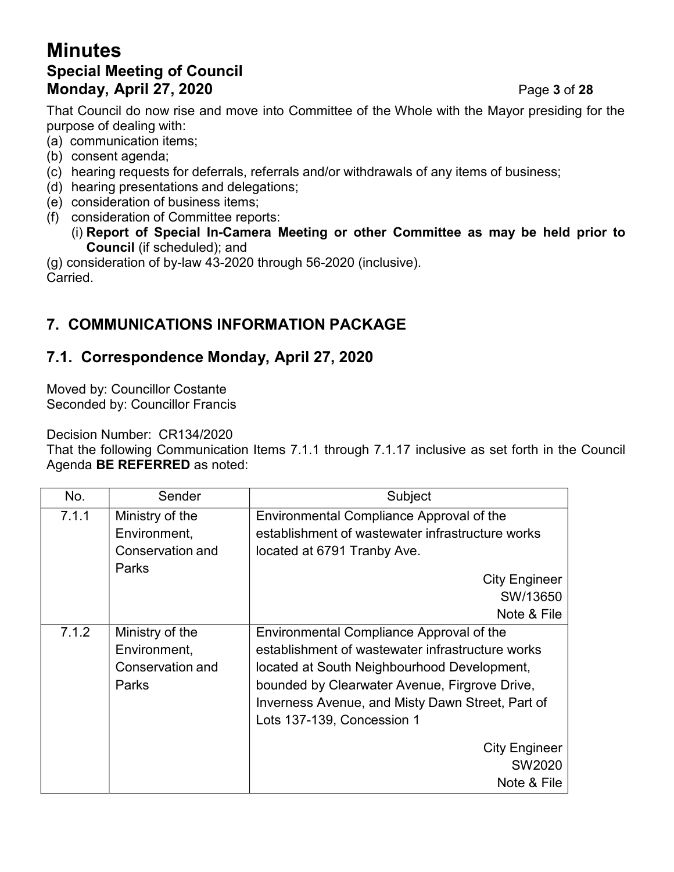# **Minutes Special Meeting of Council Monday, April 27, 2020** Page **3** of **28**

That Council do now rise and move into Committee of the Whole with the Mayor presiding for the purpose of dealing with:

- (a) communication items;
- (b) consent agenda;
- (c) hearing requests for deferrals, referrals and/or withdrawals of any items of business;
- (d) hearing presentations and delegations;
- (e) consideration of business items;
- (f) consideration of Committee reports:
	- (i) **Report of Special In-Camera Meeting or other Committee as may be held prior to Council** (if scheduled); and

(g) consideration of by-law 43-2020 through 56-2020 (inclusive). Carried.

# **7. COMMUNICATIONS INFORMATION PACKAGE**

## **7.1. Correspondence Monday, April 27, 2020**

Moved by: Councillor Costante Seconded by: Councillor Francis

Decision Number: CR134/2020

That the following Communication Items 7.1.1 through 7.1.17 inclusive as set forth in the Council Agenda **BE REFERRED** as noted:

| No.   | Sender           | Subject                                          |  |
|-------|------------------|--------------------------------------------------|--|
| 7.1.1 | Ministry of the  | Environmental Compliance Approval of the         |  |
|       | Environment,     | establishment of wastewater infrastructure works |  |
|       | Conservation and | located at 6791 Tranby Ave.                      |  |
|       | Parks            | <b>City Engineer</b>                             |  |
|       |                  | SW/13650                                         |  |
|       |                  | Note & File                                      |  |
| 7.1.2 | Ministry of the  | Environmental Compliance Approval of the         |  |
|       | Environment,     | establishment of wastewater infrastructure works |  |
|       | Conservation and | located at South Neighbourhood Development,      |  |
|       | Parks            | bounded by Clearwater Avenue, Firgrove Drive,    |  |
|       |                  | Inverness Avenue, and Misty Dawn Street, Part of |  |
|       |                  | Lots 137-139, Concession 1                       |  |
|       |                  | <b>City Engineer</b>                             |  |
|       |                  | SW2020                                           |  |
|       |                  | Note & File                                      |  |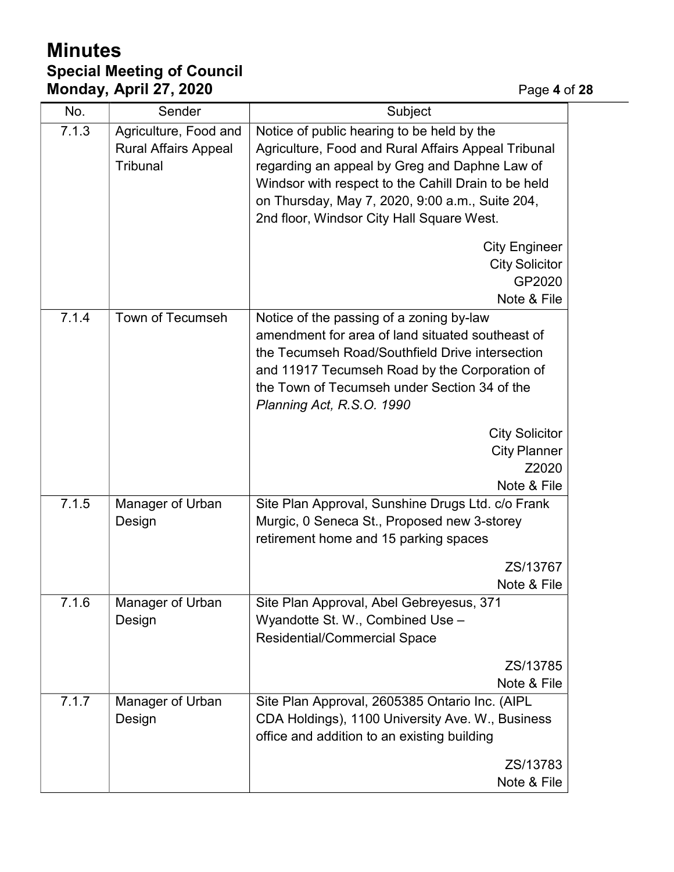# **Minutes Special Meeting of Council Monday, April 27, 2020** Page **4** of **28**

| No.   | Sender                                                                  | Subject                                                                                                                                                                                                                                                                                                   |  |
|-------|-------------------------------------------------------------------------|-----------------------------------------------------------------------------------------------------------------------------------------------------------------------------------------------------------------------------------------------------------------------------------------------------------|--|
| 7.1.3 | Agriculture, Food and<br><b>Rural Affairs Appeal</b><br><b>Tribunal</b> | Notice of public hearing to be held by the<br>Agriculture, Food and Rural Affairs Appeal Tribunal<br>regarding an appeal by Greg and Daphne Law of<br>Windsor with respect to the Cahill Drain to be held<br>on Thursday, May 7, 2020, 9:00 a.m., Suite 204,<br>2nd floor, Windsor City Hall Square West. |  |
|       |                                                                         | <b>City Engineer</b><br><b>City Solicitor</b><br>GP2020<br>Note & File                                                                                                                                                                                                                                    |  |
| 7.1.4 | Town of Tecumseh                                                        | Notice of the passing of a zoning by-law<br>amendment for area of land situated southeast of<br>the Tecumseh Road/Southfield Drive intersection<br>and 11917 Tecumseh Road by the Corporation of<br>the Town of Tecumseh under Section 34 of the<br>Planning Act, R.S.O. 1990                             |  |
|       |                                                                         | <b>City Solicitor</b><br><b>City Planner</b><br>Z2020<br>Note & File                                                                                                                                                                                                                                      |  |
| 7.1.5 | Manager of Urban<br>Design                                              | Site Plan Approval, Sunshine Drugs Ltd. c/o Frank<br>Murgic, 0 Seneca St., Proposed new 3-storey<br>retirement home and 15 parking spaces                                                                                                                                                                 |  |
|       |                                                                         | ZS/13767<br>Note & File                                                                                                                                                                                                                                                                                   |  |
| 7.1.6 | Manager of Urban<br>Design                                              | Site Plan Approval, Abel Gebreyesus, 371<br>Wyandotte St. W., Combined Use -<br><b>Residential/Commercial Space</b>                                                                                                                                                                                       |  |
|       |                                                                         | ZS/13785<br>Note & File                                                                                                                                                                                                                                                                                   |  |
| 7.1.7 | Manager of Urban<br>Design                                              | Site Plan Approval, 2605385 Ontario Inc. (AIPL<br>CDA Holdings), 1100 University Ave. W., Business<br>office and addition to an existing building                                                                                                                                                         |  |
|       |                                                                         | ZS/13783<br>Note & File                                                                                                                                                                                                                                                                                   |  |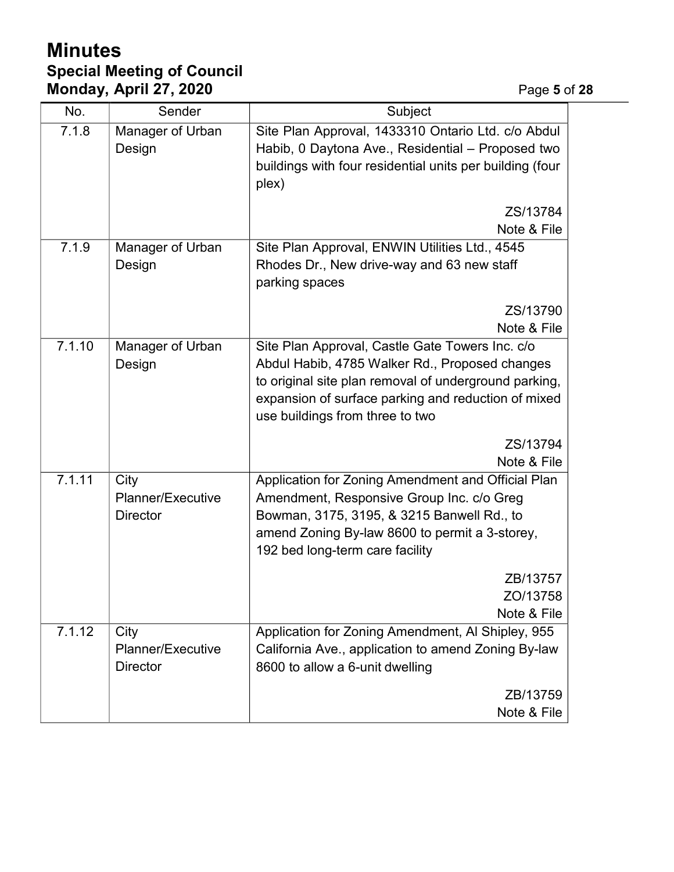# **Minutes Special Meeting of Council Monday, April 27, 2020** Page **5** of **28**

| No.    | Sender                                       | Subject                                                                                                                                                                                                                                              |  |
|--------|----------------------------------------------|------------------------------------------------------------------------------------------------------------------------------------------------------------------------------------------------------------------------------------------------------|--|
| 7.1.8  | Manager of Urban<br>Design                   | Site Plan Approval, 1433310 Ontario Ltd. c/o Abdul<br>Habib, 0 Daytona Ave., Residential - Proposed two<br>buildings with four residential units per building (four<br>plex)                                                                         |  |
|        |                                              | ZS/13784                                                                                                                                                                                                                                             |  |
|        |                                              | Note & File                                                                                                                                                                                                                                          |  |
| 7.1.9  | Manager of Urban<br>Design                   | Site Plan Approval, ENWIN Utilities Ltd., 4545<br>Rhodes Dr., New drive-way and 63 new staff<br>parking spaces                                                                                                                                       |  |
|        |                                              | ZS/13790<br>Note & File                                                                                                                                                                                                                              |  |
| 7.1.10 | Manager of Urban<br>Design                   | Site Plan Approval, Castle Gate Towers Inc. c/o<br>Abdul Habib, 4785 Walker Rd., Proposed changes<br>to original site plan removal of underground parking,<br>expansion of surface parking and reduction of mixed<br>use buildings from three to two |  |
|        |                                              | ZS/13794<br>Note & File                                                                                                                                                                                                                              |  |
| 7.1.11 | City<br>Planner/Executive<br><b>Director</b> | Application for Zoning Amendment and Official Plan<br>Amendment, Responsive Group Inc. c/o Greg<br>Bowman, 3175, 3195, & 3215 Banwell Rd., to<br>amend Zoning By-law 8600 to permit a 3-storey,<br>192 bed long-term care facility                   |  |
|        |                                              | ZB/13757<br>ZO/13758<br>Note & File                                                                                                                                                                                                                  |  |
| 7.1.12 | City<br>Planner/Executive<br><b>Director</b> | Application for Zoning Amendment, Al Shipley, 955<br>California Ave., application to amend Zoning By-law<br>8600 to allow a 6-unit dwelling                                                                                                          |  |
|        |                                              | ZB/13759<br>Note & File                                                                                                                                                                                                                              |  |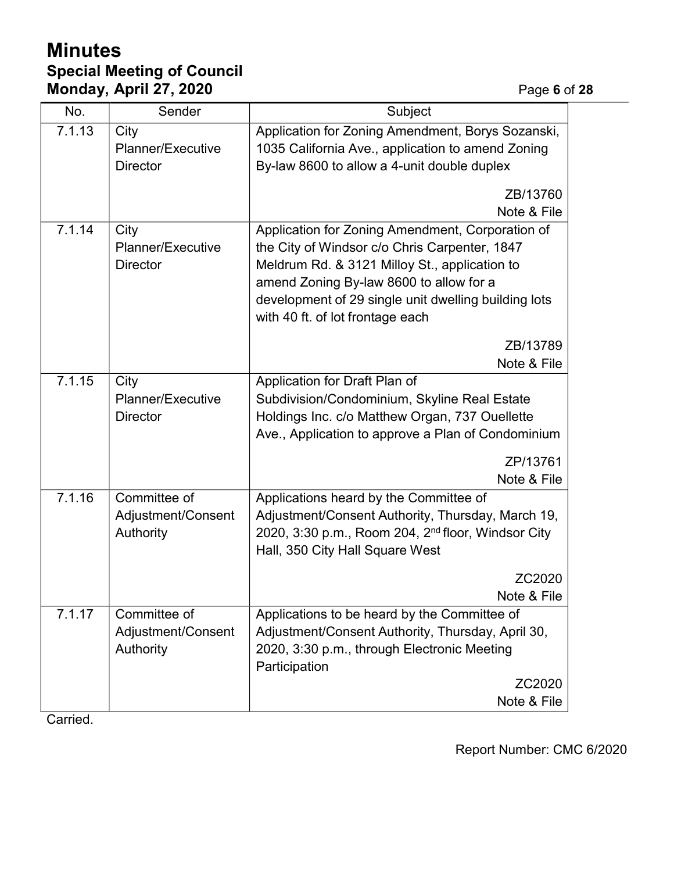# **Minutes Special Meeting of Council Monday, April 27, 2020 Page 6** of 28

| No.    | Sender                                          | Subject                                                                                                                                                                                                                                                                                   |  |
|--------|-------------------------------------------------|-------------------------------------------------------------------------------------------------------------------------------------------------------------------------------------------------------------------------------------------------------------------------------------------|--|
| 7.1.13 | City<br>Planner/Executive<br><b>Director</b>    | Application for Zoning Amendment, Borys Sozanski,<br>1035 California Ave., application to amend Zoning<br>By-law 8600 to allow a 4-unit double duplex                                                                                                                                     |  |
|        |                                                 | ZB/13760<br>Note & File                                                                                                                                                                                                                                                                   |  |
| 7.1.14 | City<br>Planner/Executive<br><b>Director</b>    | Application for Zoning Amendment, Corporation of<br>the City of Windsor c/o Chris Carpenter, 1847<br>Meldrum Rd. & 3121 Milloy St., application to<br>amend Zoning By-law 8600 to allow for a<br>development of 29 single unit dwelling building lots<br>with 40 ft. of lot frontage each |  |
|        |                                                 | ZB/13789<br>Note & File                                                                                                                                                                                                                                                                   |  |
| 7.1.15 | City<br>Planner/Executive<br><b>Director</b>    | Application for Draft Plan of<br>Subdivision/Condominium, Skyline Real Estate<br>Holdings Inc. c/o Matthew Organ, 737 Ouellette<br>Ave., Application to approve a Plan of Condominium<br>ZP/13761<br>Note & File                                                                          |  |
| 7.1.16 | Committee of<br>Adjustment/Consent<br>Authority | Applications heard by the Committee of<br>Adjustment/Consent Authority, Thursday, March 19,<br>2020, 3:30 p.m., Room 204, 2 <sup>nd</sup> floor, Windsor City<br>Hall, 350 City Hall Square West<br>ZC2020                                                                                |  |
| 7.1.17 | Committee of<br>Adjustment/Consent<br>Authority | Note & File<br>Applications to be heard by the Committee of<br>Adjustment/Consent Authority, Thursday, April 30,<br>2020, 3:30 p.m., through Electronic Meeting<br>Participation<br>ZC2020                                                                                                |  |
|        |                                                 | Note & File                                                                                                                                                                                                                                                                               |  |

Carried.

Report Number: CMC 6/2020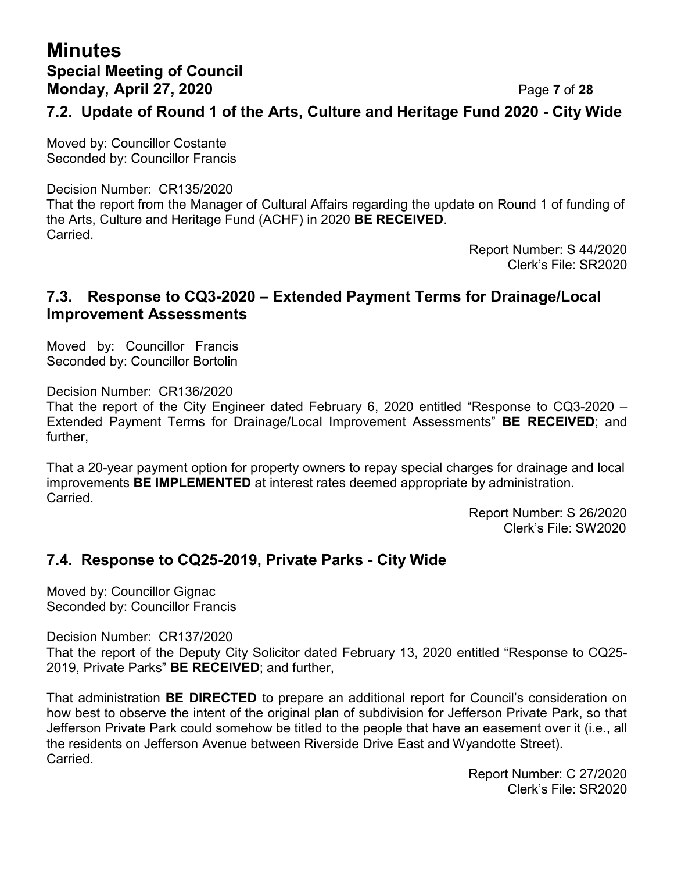# **Minutes Special Meeting of Council Monday, April 27, 2020** Page **7** of **28**

### **7.2. Update of Round 1 of the Arts, Culture and Heritage Fund 2020 - City Wide**

Moved by: Councillor Costante Seconded by: Councillor Francis

Decision Number: CR135/2020

That the report from the Manager of Cultural Affairs regarding the update on Round 1 of funding of the Arts, Culture and Heritage Fund (ACHF) in 2020 **BE RECEIVED**. Carried.

Report Number: S 44/2020 Clerk's File: SR2020

#### **7.3. Response to CQ3-2020 – Extended Payment Terms for Drainage/Local Improvement Assessments**

Moved by: Councillor Francis Seconded by: Councillor Bortolin

Decision Number: CR136/2020

That the report of the City Engineer dated February 6, 2020 entitled "Response to CQ3-2020 – Extended Payment Terms for Drainage/Local Improvement Assessments" **BE RECEIVED**; and further,

That a 20-year payment option for property owners to repay special charges for drainage and local improvements **BE IMPLEMENTED** at interest rates deemed appropriate by administration. Carried.

> Report Number: S 26/2020 Clerk's File: SW2020

#### **7.4. Response to CQ25-2019, Private Parks - City Wide**

Moved by: Councillor Gignac Seconded by: Councillor Francis

Decision Number: CR137/2020

That the report of the Deputy City Solicitor dated February 13, 2020 entitled "Response to CQ25- 2019, Private Parks" **BE RECEIVED**; and further,

That administration **BE DIRECTED** to prepare an additional report for Council's consideration on how best to observe the intent of the original plan of subdivision for Jefferson Private Park, so that Jefferson Private Park could somehow be titled to the people that have an easement over it (i.e., all the residents on Jefferson Avenue between Riverside Drive East and Wyandotte Street). Carried.

> Report Number: C 27/2020 Clerk's File: SR2020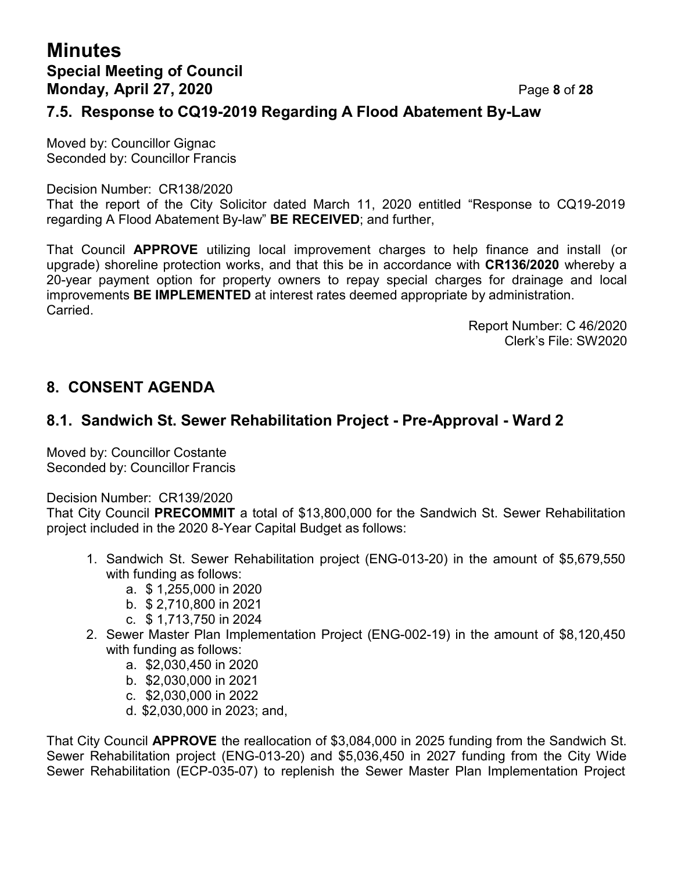# **Minutes Special Meeting of Council Monday, April 27, 2020** Page **8** of **28**

#### **7.5. Response to CQ19-2019 Regarding A Flood Abatement By-Law**

Moved by: Councillor Gignac Seconded by: Councillor Francis

Decision Number: CR138/2020

That the report of the City Solicitor dated March 11, 2020 entitled "Response to CQ19-2019 regarding A Flood Abatement By-law" **BE RECEIVED**; and further,

That Council **APPROVE** utilizing local improvement charges to help finance and install (or upgrade) shoreline protection works, and that this be in accordance with **CR136/2020** whereby a 20-year payment option for property owners to repay special charges for drainage and local improvements **BE IMPLEMENTED** at interest rates deemed appropriate by administration. Carried.

> Report Number: C 46/2020 Clerk's File: SW2020

### **8. CONSENT AGENDA**

### **8.1. Sandwich St. Sewer Rehabilitation Project - Pre-Approval - Ward 2**

Moved by: Councillor Costante Seconded by: Councillor Francis

Decision Number: CR139/2020

That City Council **PRECOMMIT** a total of \$13,800,000 for the Sandwich St. Sewer Rehabilitation project included in the 2020 8-Year Capital Budget as follows:

- 1. Sandwich St. Sewer Rehabilitation project (ENG-013-20) in the amount of \$5,679,550 with funding as follows:
	- a. \$ 1,255,000 in 2020
	- b. \$ 2,710,800 in 2021
	- c. \$ 1,713,750 in 2024
- 2. Sewer Master Plan Implementation Project (ENG-002-19) in the amount of \$8,120,450 with funding as follows:
	- a. \$2,030,450 in 2020
	- b. \$2,030,000 in 2021
	- c. \$2,030,000 in 2022
	- d. \$2,030,000 in 2023; and,

That City Council **APPROVE** the reallocation of \$3,084,000 in 2025 funding from the Sandwich St. Sewer Rehabilitation project (ENG-013-20) and \$5,036,450 in 2027 funding from the City Wide Sewer Rehabilitation (ECP-035-07) to replenish the Sewer Master Plan Implementation Project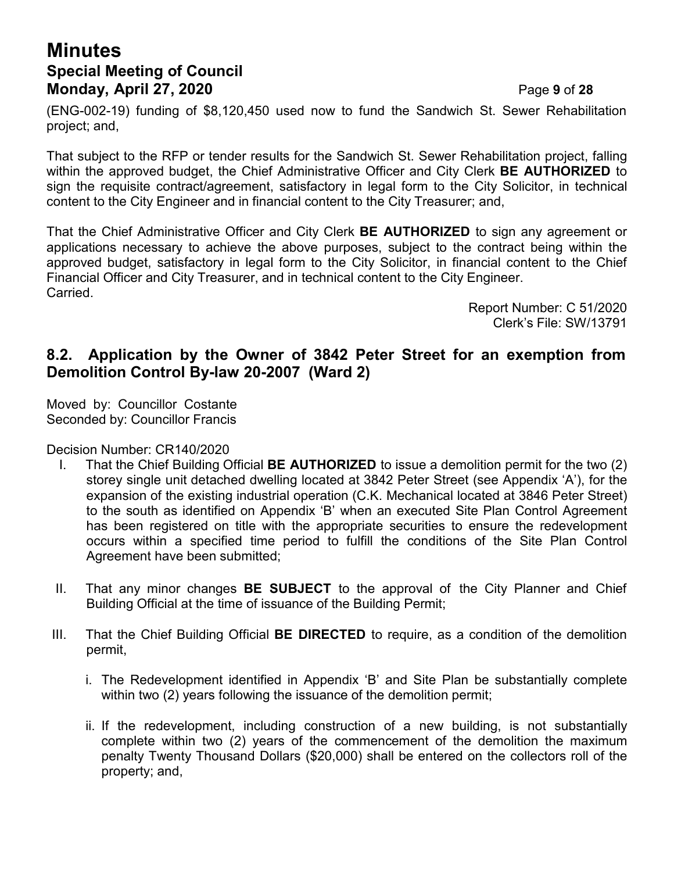# **Minutes Special Meeting of Council Monday, April 27, 2020** Page **9** of **28**

(ENG-002-19) funding of \$8,120,450 used now to fund the Sandwich St. Sewer Rehabilitation project; and,

That subject to the RFP or tender results for the Sandwich St. Sewer Rehabilitation project, falling within the approved budget, the Chief Administrative Officer and City Clerk **BE AUTHORIZED** to sign the requisite contract/agreement, satisfactory in legal form to the City Solicitor, in technical content to the City Engineer and in financial content to the City Treasurer; and,

That the Chief Administrative Officer and City Clerk **BE AUTHORIZED** to sign any agreement or applications necessary to achieve the above purposes, subject to the contract being within the approved budget, satisfactory in legal form to the City Solicitor, in financial content to the Chief Financial Officer and City Treasurer, and in technical content to the City Engineer. Carried.

> Report Number: C 51/2020 Clerk's File: SW/13791

## **8.2. Application by the Owner of 3842 Peter Street for an exemption from Demolition Control By-law 20-2007 (Ward 2)**

Moved by: Councillor Costante Seconded by: Councillor Francis

Decision Number: CR140/2020

- I. That the Chief Building Official **BE AUTHORIZED** to issue a demolition permit for the two (2) storey single unit detached dwelling located at 3842 Peter Street (see Appendix 'A'), for the expansion of the existing industrial operation (C.K. Mechanical located at 3846 Peter Street) to the south as identified on Appendix 'B' when an executed Site Plan Control Agreement has been registered on title with the appropriate securities to ensure the redevelopment occurs within a specified time period to fulfill the conditions of the Site Plan Control Agreement have been submitted;
- II. That any minor changes **BE SUBJECT** to the approval of the City Planner and Chief Building Official at the time of issuance of the Building Permit;
- III. That the Chief Building Official **BE DIRECTED** to require, as a condition of the demolition permit,
	- i. The Redevelopment identified in Appendix 'B' and Site Plan be substantially complete within two (2) years following the issuance of the demolition permit;
	- ii. If the redevelopment, including construction of a new building, is not substantially complete within two (2) years of the commencement of the demolition the maximum penalty Twenty Thousand Dollars (\$20,000) shall be entered on the collectors roll of the property; and,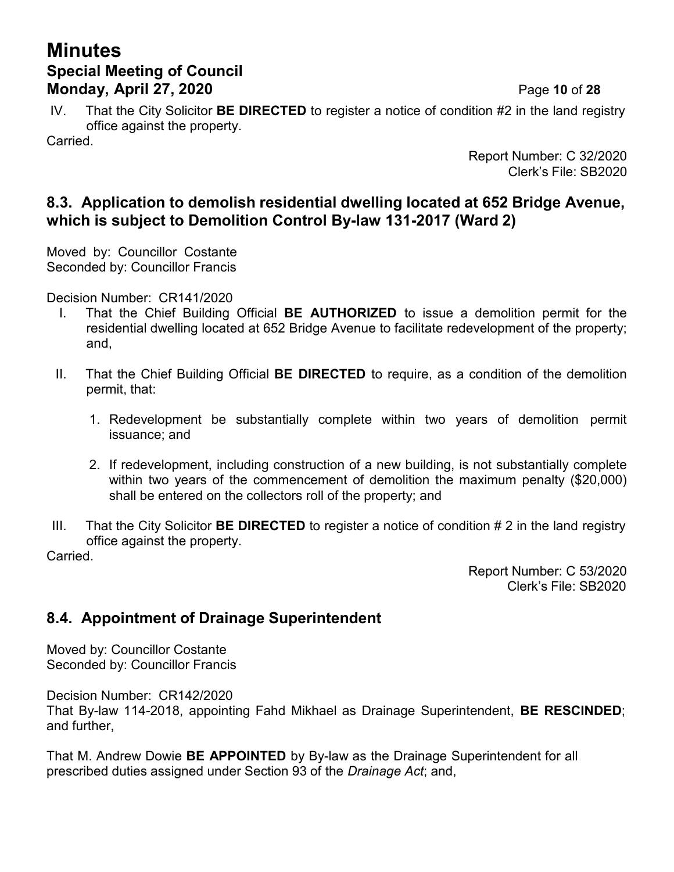# **Minutes Special Meeting of Council Monday, April 27, 2020** Page **10** of **28**

IV. That the City Solicitor **BE DIRECTED** to register a notice of condition #2 in the land registry office against the property.

Carried.

Report Number: C 32/2020 Clerk's File: SB2020

## **8.3. Application to demolish residential dwelling located at 652 Bridge Avenue, which is subject to Demolition Control By-law 131-2017 (Ward 2)**

Moved by: Councillor Costante Seconded by: Councillor Francis

Decision Number: CR141/2020

- I. That the Chief Building Official **BE AUTHORIZED** to issue a demolition permit for the residential dwelling located at 652 Bridge Avenue to facilitate redevelopment of the property; and,
- II. That the Chief Building Official **BE DIRECTED** to require, as a condition of the demolition permit, that:
	- 1. Redevelopment be substantially complete within two years of demolition permit issuance; and
	- 2. If redevelopment, including construction of a new building, is not substantially complete within two years of the commencement of demolition the maximum penalty (\$20,000) shall be entered on the collectors roll of the property; and
- III. That the City Solicitor **BE DIRECTED** to register a notice of condition # 2 in the land registry office against the property.

Carried.

Report Number: C 53/2020 Clerk's File: SB2020

## **8.4. Appointment of Drainage Superintendent**

Moved by: Councillor Costante Seconded by: Councillor Francis

Decision Number: CR142/2020

That By-law 114-2018, appointing Fahd Mikhael as Drainage Superintendent, **BE RESCINDED**; and further,

That M. Andrew Dowie **BE APPOINTED** by By-law as the Drainage Superintendent for all prescribed duties assigned under Section 93 of the *Drainage Act*; and,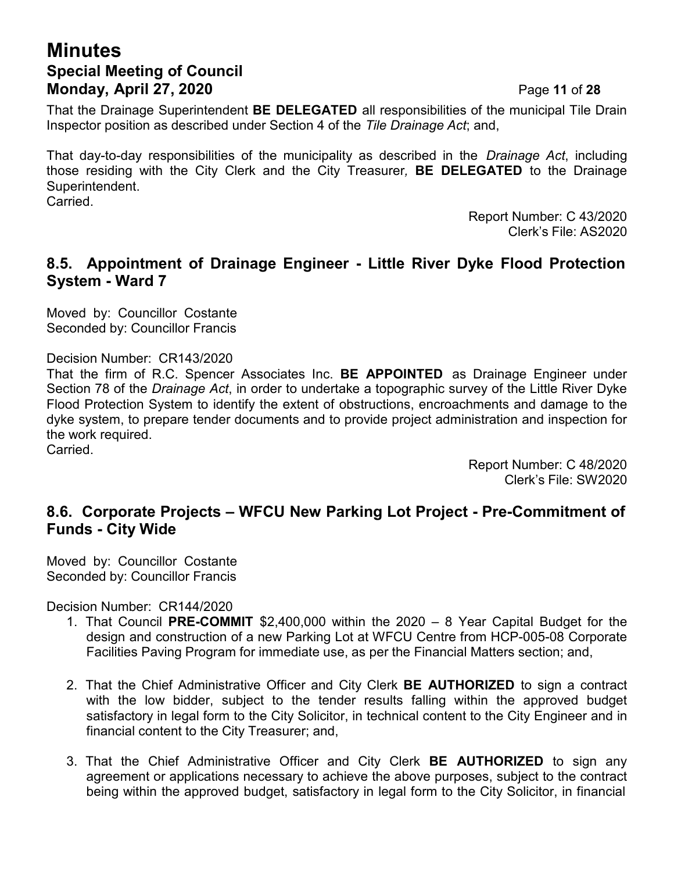# **Minutes Special Meeting of Council Monday, April 27, 2020** Page **11** of **28**

That the Drainage Superintendent **BE DELEGATED** all responsibilities of the municipal Tile Drain Inspector position as described under Section 4 of the *Tile Drainage Act*; and,

That day-to-day responsibilities of the municipality as described in the *Drainage Act*, including those residing with the City Clerk and the City Treasurer*,* **BE DELEGATED** to the Drainage Superintendent. Carried.

> Report Number: C 43/2020 Clerk's File: AS2020

### **8.5. Appointment of Drainage Engineer - Little River Dyke Flood Protection System - Ward 7**

Moved by: Councillor Costante Seconded by: Councillor Francis

Decision Number: CR143/2020

That the firm of R.C. Spencer Associates Inc. **BE APPOINTED** as Drainage Engineer under Section 78 of the *Drainage Act*, in order to undertake a topographic survey of the Little River Dyke Flood Protection System to identify the extent of obstructions, encroachments and damage to the dyke system, to prepare tender documents and to provide project administration and inspection for the work required. Carried.

> Report Number: C 48/2020 Clerk's File: SW2020

## **8.6. Corporate Projects – WFCU New Parking Lot Project - Pre-Commitment of Funds - City Wide**

Moved by: Councillor Costante Seconded by: Councillor Francis

Decision Number: CR144/2020

- 1. That Council **PRE-COMMIT** \$2,400,000 within the 2020 8 Year Capital Budget for the design and construction of a new Parking Lot at WFCU Centre from HCP-005-08 Corporate Facilities Paving Program for immediate use, as per the Financial Matters section; and,
- 2. That the Chief Administrative Officer and City Clerk **BE AUTHORIZED** to sign a contract with the low bidder, subject to the tender results falling within the approved budget satisfactory in legal form to the City Solicitor, in technical content to the City Engineer and in financial content to the City Treasurer; and,
- 3. That the Chief Administrative Officer and City Clerk **BE AUTHORIZED** to sign any agreement or applications necessary to achieve the above purposes, subject to the contract being within the approved budget, satisfactory in legal form to the City Solicitor, in financial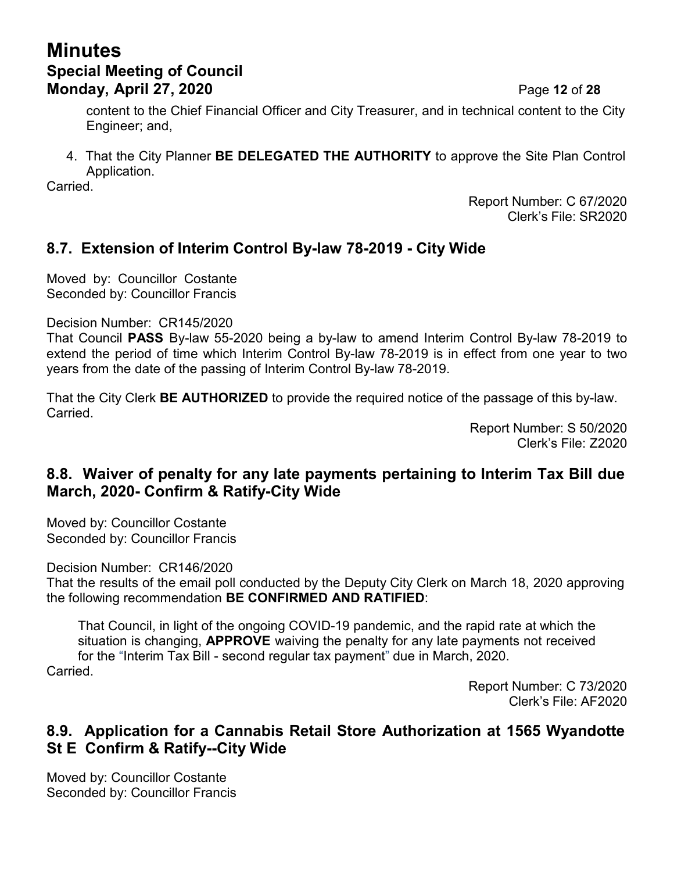# **Minutes Special Meeting of Council Monday, April 27, 2020** Page **12** of **28**

content to the Chief Financial Officer and City Treasurer, and in technical content to the City Engineer; and,

4. That the City Planner **BE DELEGATED THE AUTHORITY** to approve the Site Plan Control Application.

Carried.

Report Number: C 67/2020 Clerk's File: SR2020

## **8.7. Extension of Interim Control By-law 78-2019 - City Wide**

Moved by: Councillor Costante Seconded by: Councillor Francis

Decision Number: CR145/2020

That Council **PASS** By-law 55-2020 being a by-law to amend Interim Control By-law 78-2019 to extend the period of time which Interim Control By-law 78-2019 is in effect from one year to two years from the date of the passing of Interim Control By-law 78-2019.

That the City Clerk **BE AUTHORIZED** to provide the required notice of the passage of this by-law. Carried.

> Report Number: S 50/2020 Clerk's File: Z2020

## **8.8. Waiver of penalty for any late payments pertaining to Interim Tax Bill due March, 2020- Confirm & Ratify-City Wide**

Moved by: Councillor Costante Seconded by: Councillor Francis

Decision Number: CR146/2020

That the results of the email poll conducted by the Deputy City Clerk on March 18, 2020 approving the following recommendation **BE CONFIRMED AND RATIFIED**:

That Council, in light of the ongoing COVID-19 pandemic, and the rapid rate at which the situation is changing, **APPROVE** waiving the penalty for any late payments not received for the "Interim Tax Bill - second regular tax payment" due in March, 2020.

Carried.

Report Number: C 73/2020 Clerk's File: AF2020

## **8.9. Application for a Cannabis Retail Store Authorization at 1565 Wyandotte St E Confirm & Ratify--City Wide**

Moved by: Councillor Costante Seconded by: Councillor Francis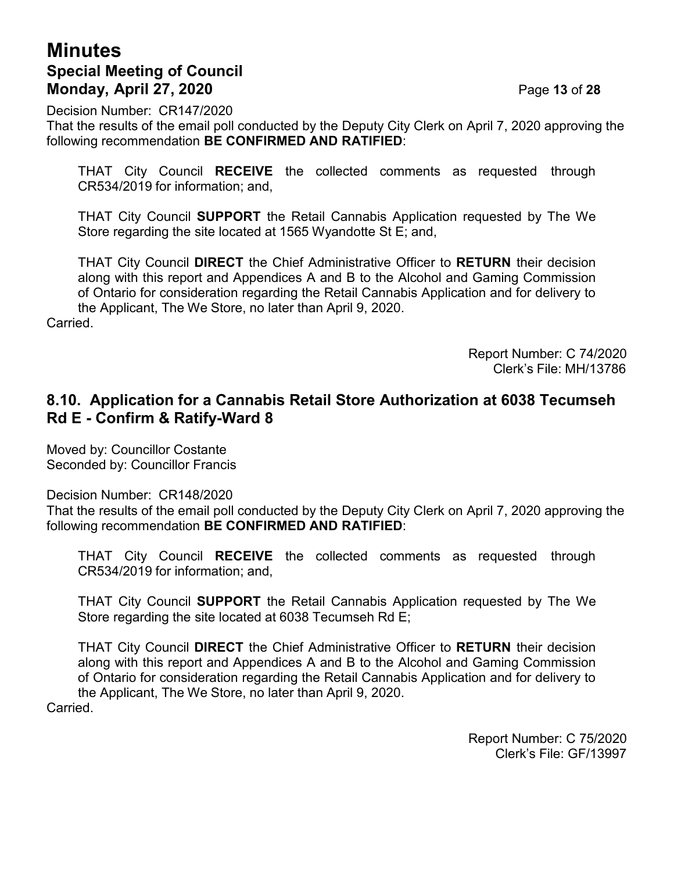## **Minutes Special Meeting of Council Monday, April 27, 2020** Page **13** of **28**

Decision Number: CR147/2020

That the results of the email poll conducted by the Deputy City Clerk on April 7, 2020 approving the following recommendation **BE CONFIRMED AND RATIFIED**:

THAT City Council **RECEIVE** the collected comments as requested through CR534/2019 for information; and,

THAT City Council **SUPPORT** the Retail Cannabis Application requested by The We Store regarding the site located at 1565 Wyandotte St E; and,

THAT City Council **DIRECT** the Chief Administrative Officer to **RETURN** their decision along with this report and Appendices A and B to the Alcohol and Gaming Commission of Ontario for consideration regarding the Retail Cannabis Application and for delivery to the Applicant, The We Store, no later than April 9, 2020.

Carried.

Report Number: C 74/2020 Clerk's File: MH/13786

### **8.10. Application for a Cannabis Retail Store Authorization at 6038 Tecumseh Rd E - Confirm & Ratify-Ward 8**

Moved by: Councillor Costante Seconded by: Councillor Francis

Decision Number: CR148/2020

That the results of the email poll conducted by the Deputy City Clerk on April 7, 2020 approving the following recommendation **BE CONFIRMED AND RATIFIED**:

THAT City Council **RECEIVE** the collected comments as requested through CR534/2019 for information; and,

THAT City Council **SUPPORT** the Retail Cannabis Application requested by The We Store regarding the site located at 6038 Tecumseh Rd E;

THAT City Council **DIRECT** the Chief Administrative Officer to **RETURN** their decision along with this report and Appendices A and B to the Alcohol and Gaming Commission of Ontario for consideration regarding the Retail Cannabis Application and for delivery to the Applicant, The We Store, no later than April 9, 2020.

Carried.

Report Number: C 75/2020 Clerk's File: GF/13997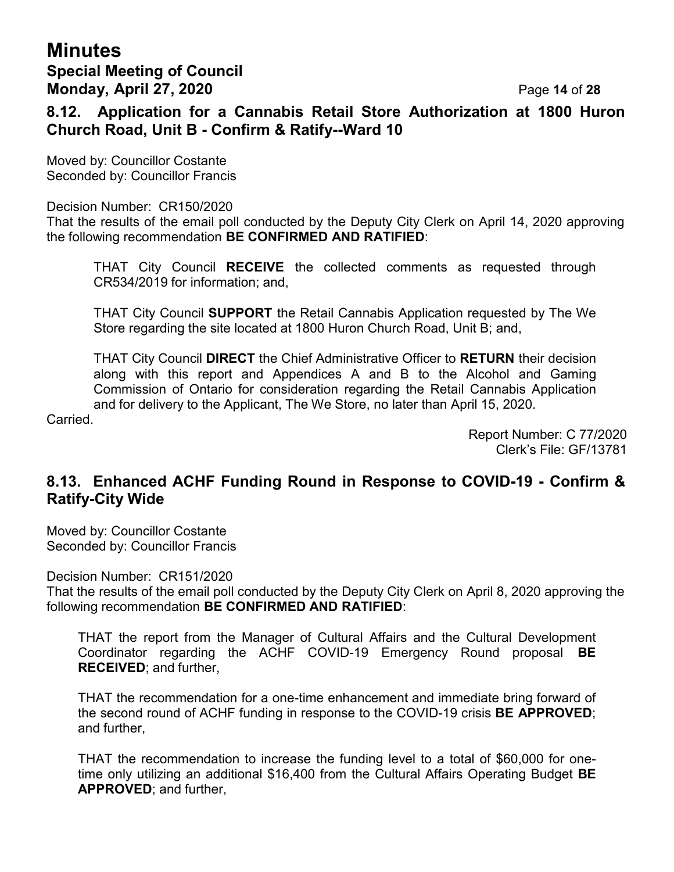## **Minutes Special Meeting of Council Monday, April 27, 2020** Page **14** of **28**

**8.12. Application for a Cannabis Retail Store Authorization at 1800 Huron Church Road, Unit B - Confirm & Ratify--Ward 10**

Moved by: Councillor Costante Seconded by: Councillor Francis

Decision Number: CR150/2020

That the results of the email poll conducted by the Deputy City Clerk on April 14, 2020 approving the following recommendation **BE CONFIRMED AND RATIFIED**:

THAT City Council **RECEIVE** the collected comments as requested through CR534/2019 for information; and,

THAT City Council **SUPPORT** the Retail Cannabis Application requested by The We Store regarding the site located at 1800 Huron Church Road, Unit B; and,

THAT City Council **DIRECT** the Chief Administrative Officer to **RETURN** their decision along with this report and Appendices A and B to the Alcohol and Gaming Commission of Ontario for consideration regarding the Retail Cannabis Application and for delivery to the Applicant, The We Store, no later than April 15, 2020.

Carried.

Report Number: C 77/2020 Clerk's File: GF/13781

### **8.13. Enhanced ACHF Funding Round in Response to COVID-19 - Confirm & Ratify-City Wide**

Moved by: Councillor Costante Seconded by: Councillor Francis

Decision Number: CR151/2020

That the results of the email poll conducted by the Deputy City Clerk on April 8, 2020 approving the following recommendation **BE CONFIRMED AND RATIFIED**:

THAT the report from the Manager of Cultural Affairs and the Cultural Development Coordinator regarding the ACHF COVID-19 Emergency Round proposal **BE RECEIVED**; and further,

THAT the recommendation for a one-time enhancement and immediate bring forward of the second round of ACHF funding in response to the COVID-19 crisis **BE APPROVED**; and further,

THAT the recommendation to increase the funding level to a total of \$60,000 for onetime only utilizing an additional \$16,400 from the Cultural Affairs Operating Budget **BE APPROVED**; and further,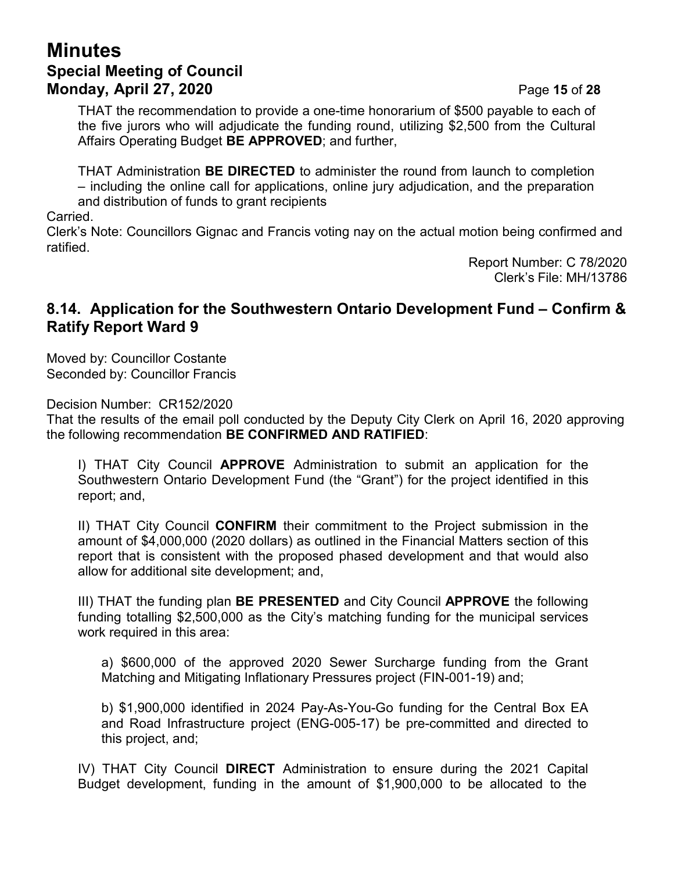## **Minutes Special Meeting of Council Monday, April 27, 2020** Page **15** of **28**

THAT the recommendation to provide a one-time honorarium of \$500 payable to each of the five jurors who will adjudicate the funding round, utilizing \$2,500 from the Cultural Affairs Operating Budget **BE APPROVED**; and further,

THAT Administration **BE DIRECTED** to administer the round from launch to completion – including the online call for applications, online jury adjudication, and the preparation and distribution of funds to grant recipients

Carried.

Clerk's Note: Councillors Gignac and Francis voting nay on the actual motion being confirmed and ratified.

> Report Number: C 78/2020 Clerk's File: MH/13786

#### **8.14. Application for the Southwestern Ontario Development Fund – Confirm & Ratify Report Ward 9**

Moved by: Councillor Costante Seconded by: Councillor Francis

Decision Number: CR152/2020

That the results of the email poll conducted by the Deputy City Clerk on April 16, 2020 approving the following recommendation **BE CONFIRMED AND RATIFIED**:

I) THAT City Council **APPROVE** Administration to submit an application for the Southwestern Ontario Development Fund (the "Grant") for the project identified in this report; and,

II) THAT City Council **CONFIRM** their commitment to the Project submission in the amount of \$4,000,000 (2020 dollars) as outlined in the Financial Matters section of this report that is consistent with the proposed phased development and that would also allow for additional site development; and,

III) THAT the funding plan **BE PRESENTED** and City Council **APPROVE** the following funding totalling \$2,500,000 as the City's matching funding for the municipal services work required in this area:

a) \$600,000 of the approved 2020 Sewer Surcharge funding from the Grant Matching and Mitigating Inflationary Pressures project (FIN-001-19) and;

b) \$1,900,000 identified in 2024 Pay-As-You-Go funding for the Central Box EA and Road Infrastructure project (ENG-005-17) be pre-committed and directed to this project, and;

IV) THAT City Council **DIRECT** Administration to ensure during the 2021 Capital Budget development, funding in the amount of \$1,900,000 to be allocated to the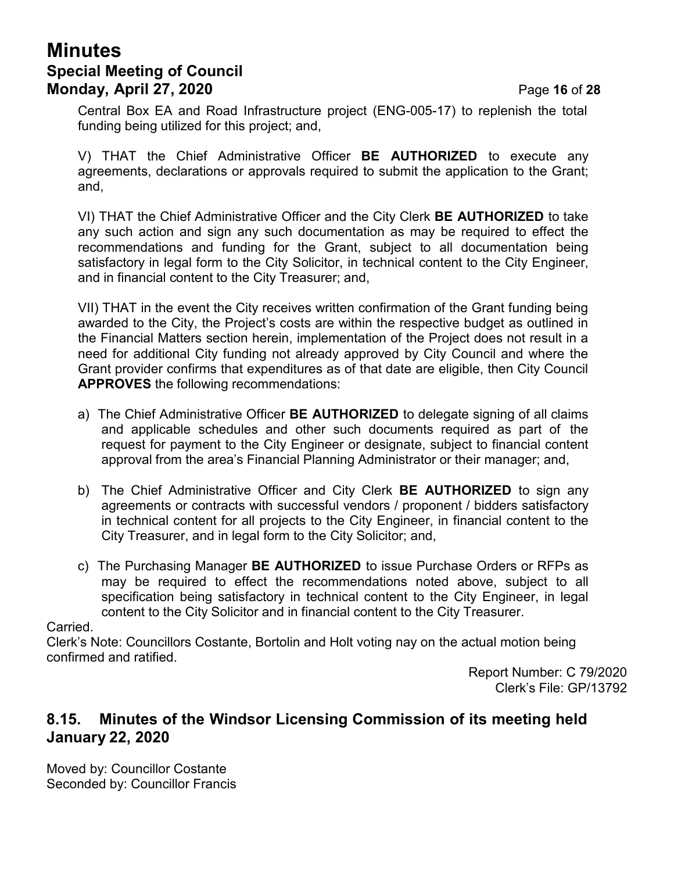# **Minutes Special Meeting of Council Monday, April 27, 2020** Page **16** of **28**

Central Box EA and Road Infrastructure project (ENG-005-17) to replenish the total funding being utilized for this project; and,

V) THAT the Chief Administrative Officer **BE AUTHORIZED** to execute any agreements, declarations or approvals required to submit the application to the Grant; and,

VI) THAT the Chief Administrative Officer and the City Clerk **BE AUTHORIZED** to take any such action and sign any such documentation as may be required to effect the recommendations and funding for the Grant, subject to all documentation being satisfactory in legal form to the City Solicitor, in technical content to the City Engineer, and in financial content to the City Treasurer; and,

VII) THAT in the event the City receives written confirmation of the Grant funding being awarded to the City, the Project's costs are within the respective budget as outlined in the Financial Matters section herein, implementation of the Project does not result in a need for additional City funding not already approved by City Council and where the Grant provider confirms that expenditures as of that date are eligible, then City Council **APPROVES** the following recommendations:

- a) The Chief Administrative Officer **BE AUTHORIZED** to delegate signing of all claims and applicable schedules and other such documents required as part of the request for payment to the City Engineer or designate, subject to financial content approval from the area's Financial Planning Administrator or their manager; and,
- b) The Chief Administrative Officer and City Clerk **BE AUTHORIZED** to sign any agreements or contracts with successful vendors / proponent / bidders satisfactory in technical content for all projects to the City Engineer, in financial content to the City Treasurer, and in legal form to the City Solicitor; and,
- c) The Purchasing Manager **BE AUTHORIZED** to issue Purchase Orders or RFPs as may be required to effect the recommendations noted above, subject to all specification being satisfactory in technical content to the City Engineer, in legal content to the City Solicitor and in financial content to the City Treasurer.

#### Carried.

Clerk's Note: Councillors Costante, Bortolin and Holt voting nay on the actual motion being confirmed and ratified.

> Report Number: C 79/2020 Clerk's File: GP/13792

#### **8.15. Minutes of the Windsor Licensing Commission of its meeting held January 22, 2020**

Moved by: Councillor Costante Seconded by: Councillor Francis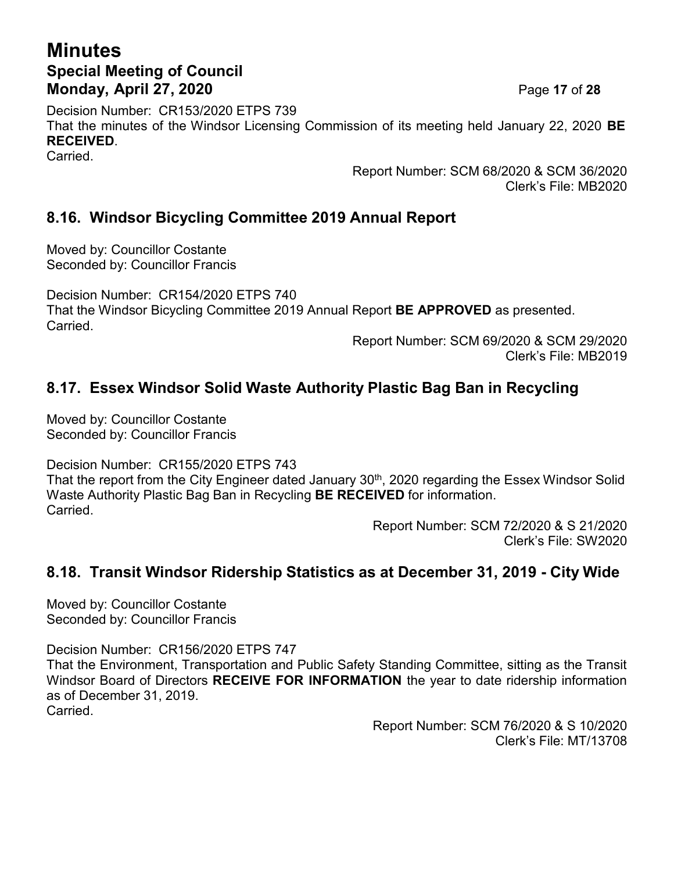# **Minutes Special Meeting of Council Monday, April 27, 2020** Page **17** of **28**

Decision Number: CR153/2020 ETPS 739 That the minutes of the Windsor Licensing Commission of its meeting held January 22, 2020 **BE RECEIVED**. Carried.

Report Number: SCM 68/2020 & SCM 36/2020 Clerk's File: MB2020

## **8.16. Windsor Bicycling Committee 2019 Annual Report**

Moved by: Councillor Costante Seconded by: Councillor Francis

Decision Number: CR154/2020 ETPS 740 That the Windsor Bicycling Committee 2019 Annual Report **BE APPROVED** as presented. Carried.

Report Number: SCM 69/2020 & SCM 29/2020 Clerk's File: MB2019

### **8.17. Essex Windsor Solid Waste Authority Plastic Bag Ban in Recycling**

Moved by: Councillor Costante Seconded by: Councillor Francis

Decision Number: CR155/2020 ETPS 743 That the report from the City Engineer dated January 30<sup>th</sup>, 2020 regarding the Essex Windsor Solid Waste Authority Plastic Bag Ban in Recycling **BE RECEIVED** for information. Carried.

Report Number: SCM 72/2020 & S 21/2020 Clerk's File: SW2020

#### **8.18. Transit Windsor Ridership Statistics as at December 31, 2019 - City Wide**

Moved by: Councillor Costante Seconded by: Councillor Francis

Decision Number: CR156/2020 ETPS 747 That the Environment, Transportation and Public Safety Standing Committee, sitting as the Transit Windsor Board of Directors **RECEIVE FOR INFORMATION** the year to date ridership information as of December 31, 2019. Carried.

> Report Number: SCM 76/2020 & S 10/2020 Clerk's File: MT/13708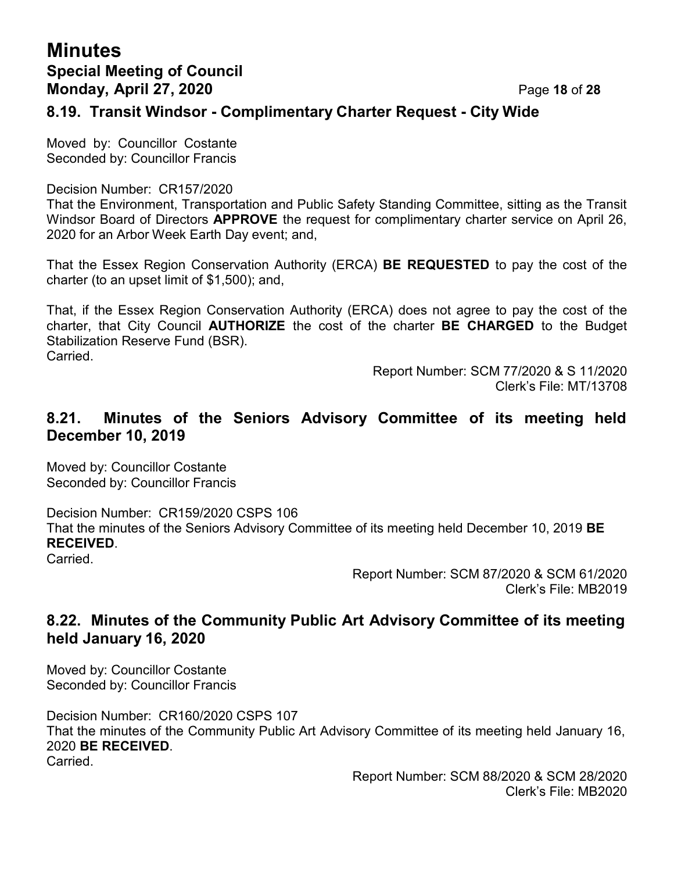## **Minutes Special Meeting of Council Monday, April 27, 2020** Page **18** of **28**

#### **8.19. Transit Windsor - Complimentary Charter Request - City Wide**

Moved by: Councillor Costante Seconded by: Councillor Francis

Decision Number: CR157/2020

That the Environment, Transportation and Public Safety Standing Committee, sitting as the Transit Windsor Board of Directors **APPROVE** the request for complimentary charter service on April 26, 2020 for an Arbor Week Earth Day event; and,

That the Essex Region Conservation Authority (ERCA) **BE REQUESTED** to pay the cost of the charter (to an upset limit of \$1,500); and,

That, if the Essex Region Conservation Authority (ERCA) does not agree to pay the cost of the charter, that City Council **AUTHORIZE** the cost of the charter **BE CHARGED** to the Budget Stabilization Reserve Fund (BSR). Carried.

> Report Number: SCM 77/2020 & S 11/2020 Clerk's File: MT/13708

#### **8.21. Minutes of the Seniors Advisory Committee of its meeting held December 10, 2019**

Moved by: Councillor Costante Seconded by: Councillor Francis

Decision Number: CR159/2020 CSPS 106 That the minutes of the Seniors Advisory Committee of its meeting held December 10, 2019 **BE RECEIVED**.

Carried.

Report Number: SCM 87/2020 & SCM 61/2020 Clerk's File: MB2019

### **8.22. Minutes of the Community Public Art Advisory Committee of its meeting held January 16, 2020**

Moved by: Councillor Costante Seconded by: Councillor Francis

Decision Number: CR160/2020 CSPS 107 That the minutes of the Community Public Art Advisory Committee of its meeting held January 16, 2020 **BE RECEIVED**. Carried.

> Report Number: SCM 88/2020 & SCM 28/2020 Clerk's File: MB2020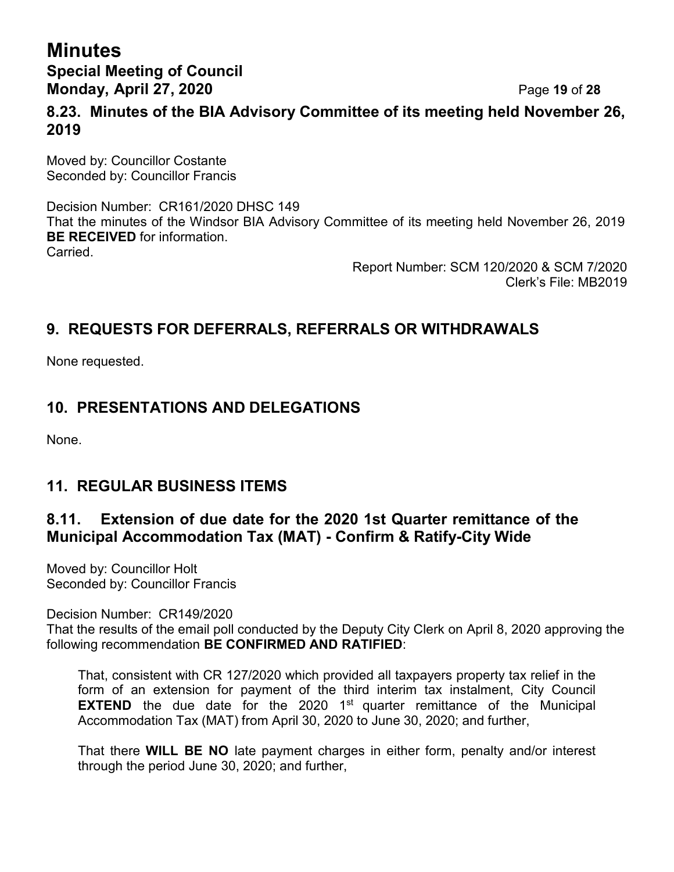## **Minutes Special Meeting of Council Monday, April 27, 2020** Page **19** of **28**

### **8.23. Minutes of the BIA Advisory Committee of its meeting held November 26, 2019**

Moved by: Councillor Costante Seconded by: Councillor Francis

Decision Number: CR161/2020 DHSC 149 That the minutes of the Windsor BIA Advisory Committee of its meeting held November 26, 2019 **BE RECEIVED** for information. Carried.

> Report Number: SCM 120/2020 & SCM 7/2020 Clerk's File: MB2019

## **9. REQUESTS FOR DEFERRALS, REFERRALS OR WITHDRAWALS**

None requested.

## **10. PRESENTATIONS AND DELEGATIONS**

None.

## **11. REGULAR BUSINESS ITEMS**

## **8.11. Extension of due date for the 2020 1st Quarter remittance of the Municipal Accommodation Tax (MAT) - Confirm & Ratify-City Wide**

Moved by: Councillor Holt Seconded by: Councillor Francis

Decision Number: CR149/2020

That the results of the email poll conducted by the Deputy City Clerk on April 8, 2020 approving the following recommendation **BE CONFIRMED AND RATIFIED**:

That, consistent with CR 127/2020 which provided all taxpayers property tax relief in the form of an extension for payment of the third interim tax instalment, City Council **EXTEND** the due date for the 2020 1<sup>st</sup> quarter remittance of the Municipal Accommodation Tax (MAT) from April 30, 2020 to June 30, 2020; and further,

That there **WILL BE NO** late payment charges in either form, penalty and/or interest through the period June 30, 2020; and further,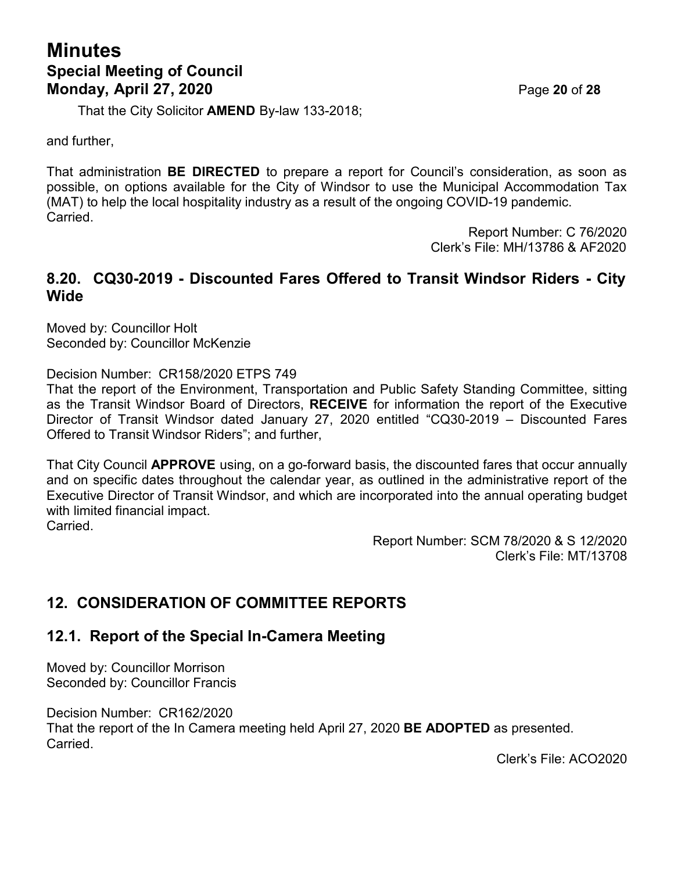# **Minutes Special Meeting of Council Monday, April 27, 2020 Page 20 of 28**

That the City Solicitor **AMEND** By-law 133-2018;

and further,

That administration **BE DIRECTED** to prepare a report for Council's consideration, as soon as possible, on options available for the City of Windsor to use the Municipal Accommodation Tax (MAT) to help the local hospitality industry as a result of the ongoing COVID-19 pandemic. Carried.

> Report Number: C 76/2020 Clerk's File: MH/13786 & AF2020

#### **8.20. CQ30-2019 - Discounted Fares Offered to Transit Windsor Riders - City Wide**

Moved by: Councillor Holt Seconded by: Councillor McKenzie

Decision Number: CR158/2020 ETPS 749

That the report of the Environment, Transportation and Public Safety Standing Committee, sitting as the Transit Windsor Board of Directors, **RECEIVE** for information the report of the Executive Director of Transit Windsor dated January 27, 2020 entitled "CQ30-2019 – Discounted Fares Offered to Transit Windsor Riders"; and further,

That City Council **APPROVE** using, on a go-forward basis, the discounted fares that occur annually and on specific dates throughout the calendar year, as outlined in the administrative report of the Executive Director of Transit Windsor, and which are incorporated into the annual operating budget with limited financial impact.

Carried.

Report Number: SCM 78/2020 & S 12/2020 Clerk's File: MT/13708

# **12. CONSIDERATION OF COMMITTEE REPORTS**

## **12.1. Report of the Special In-Camera Meeting**

Moved by: Councillor Morrison Seconded by: Councillor Francis

Decision Number: CR162/2020 That the report of the In Camera meeting held April 27, 2020 **BE ADOPTED** as presented. Carried.

Clerk's File: ACO2020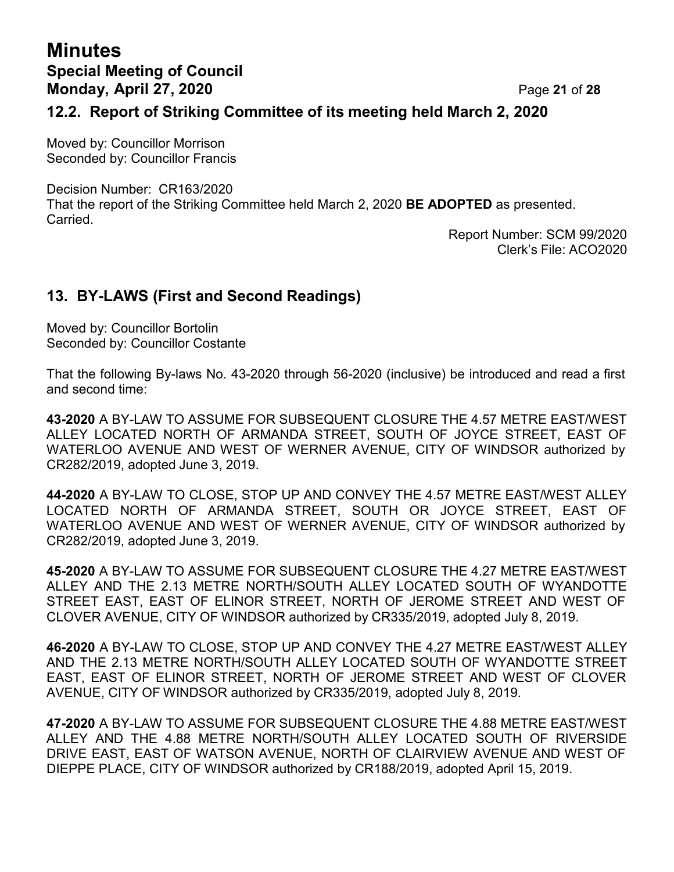# **Minutes Special Meeting of Council Monday, April 27, 2020** Page **21** of **28**

#### **12.2. Report of Striking Committee of its meeting held March 2, 2020**

Moved by: Councillor Morrison Seconded by: Councillor Francis

Decision Number: CR163/2020 That the report of the Striking Committee held March 2, 2020 **BE ADOPTED** as presented. Carried.

Report Number: SCM 99/2020 Clerk's File: ACO2020

## **13. BY-LAWS (First and Second Readings)**

Moved by: Councillor Bortolin Seconded by: Councillor Costante

That the following By-laws No. 43-2020 through 56-2020 (inclusive) be introduced and read a first and second time:

**43-2020** A BY-LAW TO ASSUME FOR SUBSEQUENT CLOSURE THE 4.57 METRE EAST/WEST ALLEY LOCATED NORTH OF ARMANDA STREET, SOUTH OF JOYCE STREET, EAST OF WATERLOO AVENUE AND WEST OF WERNER AVENUE, CITY OF WINDSOR authorized by CR282/2019, adopted June 3, 2019.

**44-2020** A BY-LAW TO CLOSE, STOP UP AND CONVEY THE 4.57 METRE EAST/WEST ALLEY LOCATED NORTH OF ARMANDA STREET, SOUTH OR JOYCE STREET, EAST OF WATERLOO AVENUE AND WEST OF WERNER AVENUE, CITY OF WINDSOR authorized by CR282/2019, adopted June 3, 2019.

**45-2020** A BY-LAW TO ASSUME FOR SUBSEQUENT CLOSURE THE 4.27 METRE EAST/WEST ALLEY AND THE 2.13 METRE NORTH/SOUTH ALLEY LOCATED SOUTH OF WYANDOTTE STREET EAST, EAST OF ELINOR STREET, NORTH OF JEROME STREET AND WEST OF CLOVER AVENUE, CITY OF WINDSOR authorized by CR335/2019, adopted July 8, 2019.

**46-2020** A BY-LAW TO CLOSE, STOP UP AND CONVEY THE 4.27 METRE EAST/WEST ALLEY AND THE 2.13 METRE NORTH/SOUTH ALLEY LOCATED SOUTH OF WYANDOTTE STREET EAST, EAST OF ELINOR STREET, NORTH OF JEROME STREET AND WEST OF CLOVER AVENUE, CITY OF WINDSOR authorized by CR335/2019, adopted July 8, 2019.

**47-2020** A BY-LAW TO ASSUME FOR SUBSEQUENT CLOSURE THE 4.88 METRE EAST/WEST ALLEY AND THE 4.88 METRE NORTH/SOUTH ALLEY LOCATED SOUTH OF RIVERSIDE DRIVE EAST, EAST OF WATSON AVENUE, NORTH OF CLAIRVIEW AVENUE AND WEST OF DIEPPE PLACE, CITY OF WINDSOR authorized by CR188/2019, adopted April 15, 2019.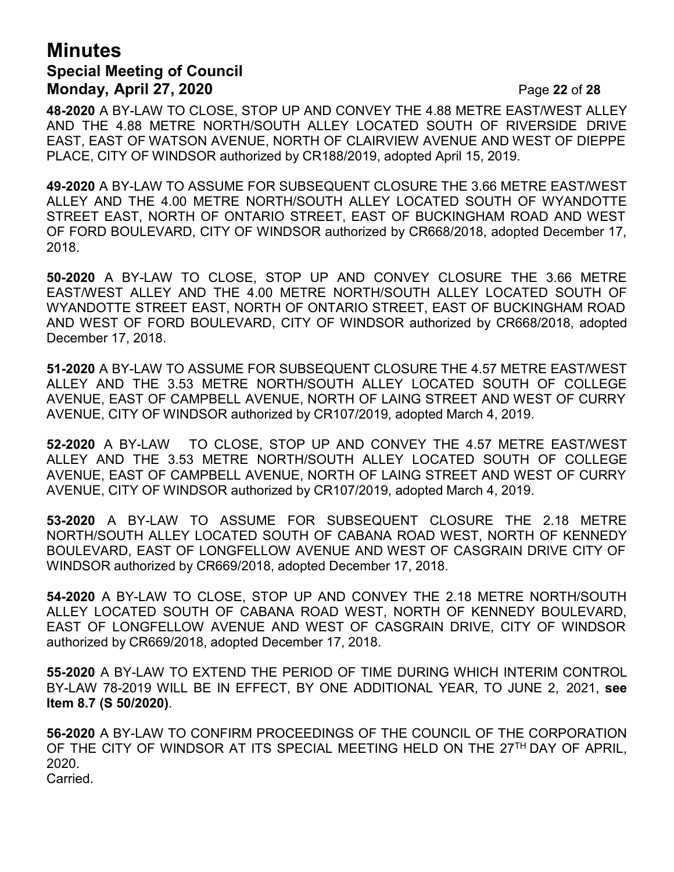## **Minutes Special Meeting of Council Monday, April 27, 2020** Page **22** of **28**

**48-2020** A BY-LAW TO CLOSE, STOP UP AND CONVEY THE 4.88 METRE EAST/WEST ALLEY AND THE 4.88 METRE NORTH/SOUTH ALLEY LOCATED SOUTH OF RIVERSIDE DRIVE EAST, EAST OF WATSON AVENUE, NORTH OF CLAIRVIEW AVENUE AND WEST OF DIEPPE PLACE, CITY OF WINDSOR authorized by CR188/2019, adopted April 15, 2019.

**49-2020** A BY-LAW TO ASSUME FOR SUBSEQUENT CLOSURE THE 3.66 METRE EAST/WEST ALLEY AND THE 4.00 METRE NORTH/SOUTH ALLEY LOCATED SOUTH OF WYANDOTTE STREET EAST, NORTH OF ONTARIO STREET, EAST OF BUCKINGHAM ROAD AND WEST OF FORD BOULEVARD, CITY OF WINDSOR authorized by CR668/2018, adopted December 17, 2018.

**50-2020** A BY-LAW TO CLOSE, STOP UP AND CONVEY CLOSURE THE 3.66 METRE EAST/WEST ALLEY AND THE 4.00 METRE NORTH/SOUTH ALLEY LOCATED SOUTH OF WYANDOTTE STREET EAST, NORTH OF ONTARIO STREET, EAST OF BUCKINGHAM ROAD AND WEST OF FORD BOULEVARD, CITY OF WINDSOR authorized by CR668/2018, adopted December 17, 2018.

**51-2020** A BY-LAW TO ASSUME FOR SUBSEQUENT CLOSURE THE 4.57 METRE EAST/WEST ALLEY AND THE 3.53 METRE NORTH/SOUTH ALLEY LOCATED SOUTH OF COLLEGE AVENUE, EAST OF CAMPBELL AVENUE, NORTH OF LAING STREET AND WEST OF CURRY AVENUE, CITY OF WINDSOR authorized by CR107/2019, adopted March 4, 2019.

**52-2020** A BY-LAW TO CLOSE, STOP UP AND CONVEY THE 4.57 METRE EAST/WEST ALLEY AND THE 3.53 METRE NORTH/SOUTH ALLEY LOCATED SOUTH OF COLLEGE AVENUE, EAST OF CAMPBELL AVENUE, NORTH OF LAING STREET AND WEST OF CURRY AVENUE, CITY OF WINDSOR authorized by CR107/2019, adopted March 4, 2019.

**53-2020** A BY-LAW TO ASSUME FOR SUBSEQUENT CLOSURE THE 2.18 METRE NORTH/SOUTH ALLEY LOCATED SOUTH OF CABANA ROAD WEST, NORTH OF KENNEDY BOULEVARD, EAST OF LONGFELLOW AVENUE AND WEST OF CASGRAIN DRIVE CITY OF WINDSOR authorized by CR669/2018, adopted December 17, 2018.

**54-2020** A BY-LAW TO CLOSE, STOP UP AND CONVEY THE 2.18 METRE NORTH/SOUTH ALLEY LOCATED SOUTH OF CABANA ROAD WEST, NORTH OF KENNEDY BOULEVARD, EAST OF LONGFELLOW AVENUE AND WEST OF CASGRAIN DRIVE, CITY OF WINDSOR authorized by CR669/2018, adopted December 17, 2018.

**55-2020** A BY-LAW TO EXTEND THE PERIOD OF TIME DURING WHICH INTERIM CONTROL BY-LAW 78-2019 WILL BE IN EFFECT, BY ONE ADDITIONAL YEAR, TO JUNE 2, 2021, **see Item 8.7 (S 50/2020)**.

**56-2020** A BY-LAW TO CONFIRM PROCEEDINGS OF THE COUNCIL OF THE CORPORATION OF THE CITY OF WINDSOR AT ITS SPECIAL MEETING HELD ON THE 27<sup>TH</sup> DAY OF APRIL, 2020. Carried.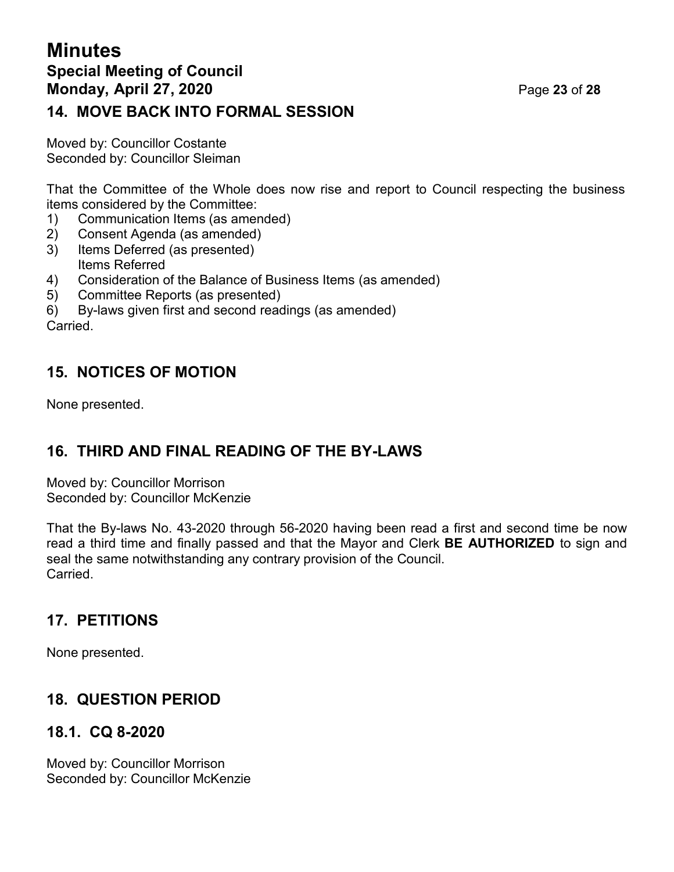## **Minutes Special Meeting of Council Monday, April 27, 2020** Page **23** of **28 14. MOVE BACK INTO FORMAL SESSION**

Moved by: Councillor Costante Seconded by: Councillor Sleiman

That the Committee of the Whole does now rise and report to Council respecting the business items considered by the Committee:

- 1) Communication Items (as amended)
- 2) Consent Agenda (as amended)
- 3) Items Deferred (as presented) Items Referred
- 4) Consideration of the Balance of Business Items (as amended)
- 5) Committee Reports (as presented)
- 6) By-laws given first and second readings (as amended) Carried.

## **15. NOTICES OF MOTION**

None presented.

## **16. THIRD AND FINAL READING OF THE BY-LAWS**

Moved by: Councillor Morrison Seconded by: Councillor McKenzie

That the By-laws No. 43-2020 through 56-2020 having been read a first and second time be now read a third time and finally passed and that the Mayor and Clerk **BE AUTHORIZED** to sign and seal the same notwithstanding any contrary provision of the Council. Carried.

## **17. PETITIONS**

None presented.

# **18. QUESTION PERIOD**

## **18.1. CQ 8-2020**

Moved by: Councillor Morrison Seconded by: Councillor McKenzie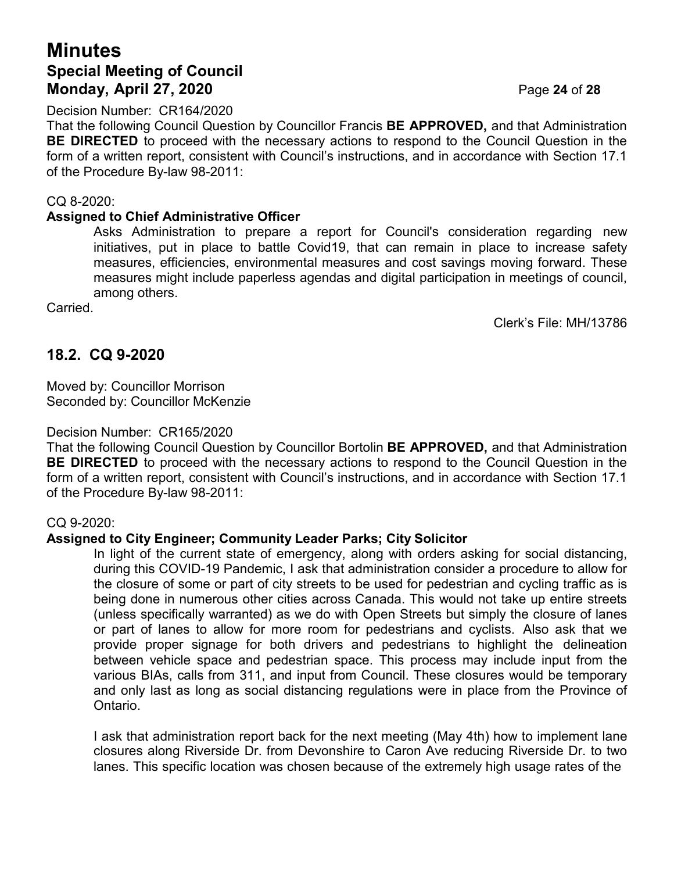## **Minutes Special Meeting of Council Monday, April 27, 2020** Page **24** of **28**

Decision Number: CR164/2020

That the following Council Question by Councillor Francis **BE APPROVED,** and that Administration **BE DIRECTED** to proceed with the necessary actions to respond to the Council Question in the form of a written report, consistent with Council's instructions, and in accordance with Section 17.1 of the Procedure By-law 98-2011:

#### CQ 8-2020:

#### **Assigned to Chief Administrative Officer**

Asks Administration to prepare a report for Council's consideration regarding new initiatives, put in place to battle Covid19, that can remain in place to increase safety measures, efficiencies, environmental measures and cost savings moving forward. These measures might include paperless agendas and digital participation in meetings of council, among others.

Carried.

Clerk's File: MH/13786

#### **18.2. CQ 9-2020**

Moved by: Councillor Morrison Seconded by: Councillor McKenzie

#### Decision Number: CR165/2020

That the following Council Question by Councillor Bortolin **BE APPROVED,** and that Administration **BE DIRECTED** to proceed with the necessary actions to respond to the Council Question in the form of a written report, consistent with Council's instructions, and in accordance with Section 17.1 of the Procedure By-law 98-2011:

#### CQ 9-2020:

#### **Assigned to City Engineer; Community Leader Parks; City Solicitor**

In light of the current state of emergency, along with orders asking for social distancing, during this COVID-19 Pandemic, I ask that administration consider a procedure to allow for the closure of some or part of city streets to be used for pedestrian and cycling traffic as is being done in numerous other cities across Canada. This would not take up entire streets (unless specifically warranted) as we do with Open Streets but simply the closure of lanes or part of lanes to allow for more room for pedestrians and cyclists. Also ask that we provide proper signage for both drivers and pedestrians to highlight the delineation between vehicle space and pedestrian space. This process may include input from the various BIAs, calls from 311, and input from Council. These closures would be temporary and only last as long as social distancing regulations were in place from the Province of Ontario.

I ask that administration report back for the next meeting (May 4th) how to implement lane closures along Riverside Dr. from Devonshire to Caron Ave reducing Riverside Dr. to two lanes. This specific location was chosen because of the extremely high usage rates of the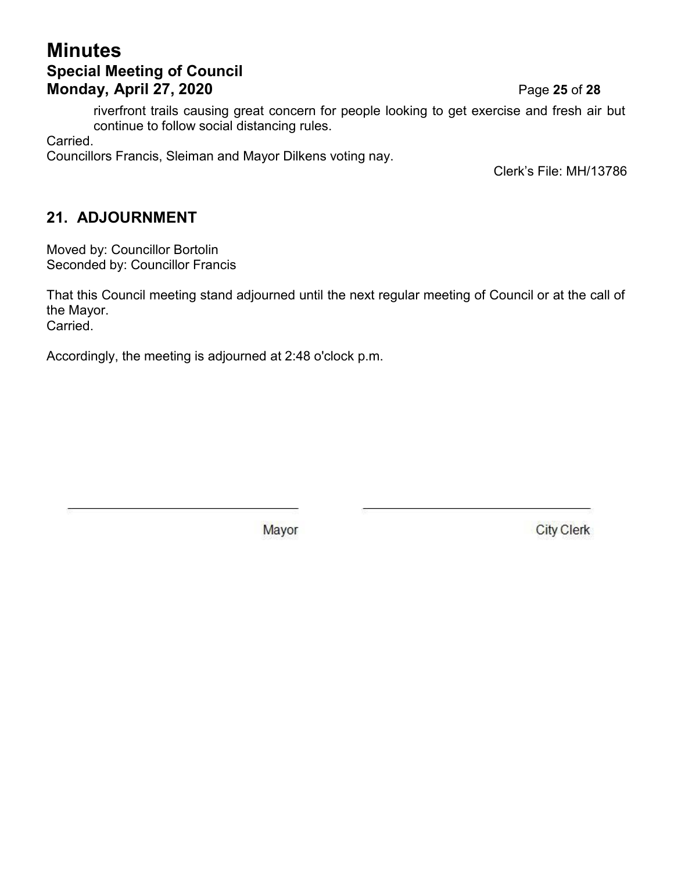## **Minutes Special Meeting of Council Monday, April 27, 2020** Page **25** of **28**

riverfront trails causing great concern for people looking to get exercise and fresh air but continue to follow social distancing rules.

Carried.

Councillors Francis, Sleiman and Mayor Dilkens voting nay.

Clerk's File: MH/13786

## **21. ADJOURNMENT**

Moved by: Councillor Bortolin Seconded by: Councillor Francis

That this Council meeting stand adjourned until the next regular meeting of Council or at the call of the Mayor. Carried.

Accordingly, the meeting is adjourned at 2:48 o'clock p.m.

Mayor

**City Clerk**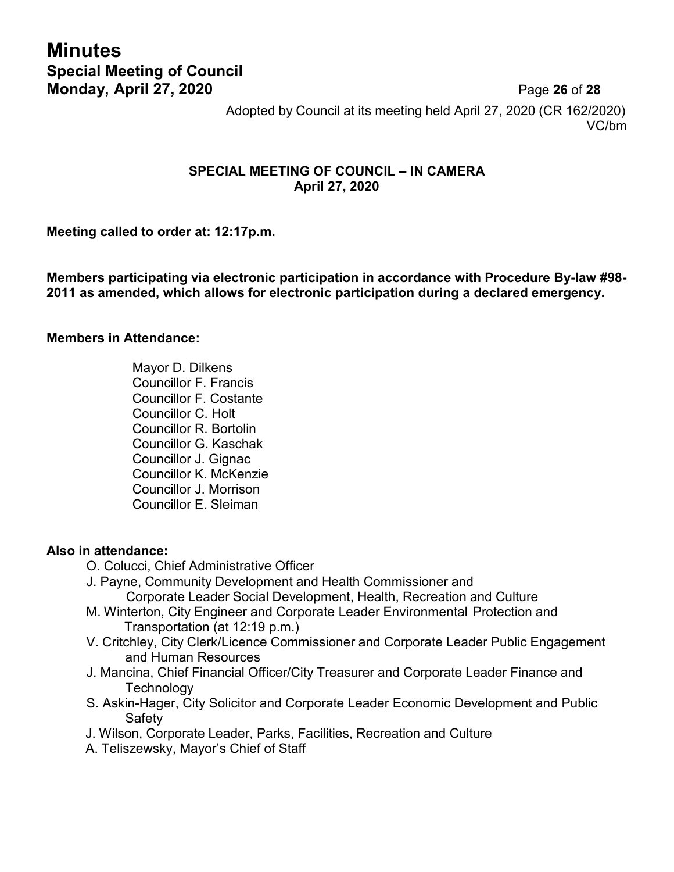# **Minutes Special Meeting of Council Monday, April 27, 2020** Page **26** of **28**

Adopted by Council at its meeting held April 27, 2020 (CR 162/2020) VC/bm

#### **SPECIAL MEETING OF COUNCIL – IN CAMERA April 27, 2020**

**Meeting called to order at: 12:17p.m.**

**Members participating via electronic participation in accordance with Procedure By-law #98- 2011 as amended, which allows for electronic participation during a declared emergency.**

#### **Members in Attendance:**

Mayor D. Dilkens Councillor F. Francis Councillor F. Costante Councillor C. Holt Councillor R. Bortolin Councillor G. Kaschak Councillor J. Gignac Councillor K. McKenzie Councillor J. Morrison Councillor E. Sleiman

#### **Also in attendance:**

- O. Colucci, Chief Administrative Officer
- J. Payne, Community Development and Health Commissioner and Corporate Leader Social Development, Health, Recreation and Culture
- M. Winterton, City Engineer and Corporate Leader Environmental Protection and Transportation (at 12:19 p.m.)
- V. Critchley, City Clerk/Licence Commissioner and Corporate Leader Public Engagement and Human Resources
- J. Mancina, Chief Financial Officer/City Treasurer and Corporate Leader Finance and **Technology**
- S. Askin-Hager, City Solicitor and Corporate Leader Economic Development and Public Safety
- J. Wilson, Corporate Leader, Parks, Facilities, Recreation and Culture
- A. Teliszewsky, Mayor's Chief of Staff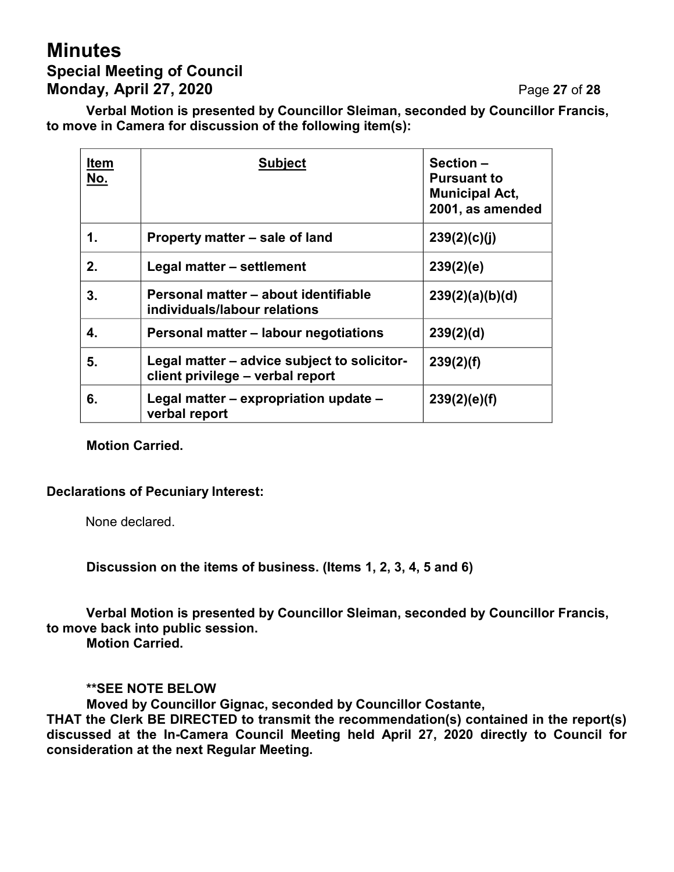# **Minutes Special Meeting of Council Monday, April 27, 2020** Page **27** of **28**

**Verbal Motion is presented by Councillor Sleiman, seconded by Councillor Francis, to move in Camera for discussion of the following item(s):**

| <b>Item</b><br>No. | <b>Subject</b>                                                                  | <b>Section –</b><br><b>Pursuant to</b><br><b>Municipal Act,</b><br>2001, as amended |
|--------------------|---------------------------------------------------------------------------------|-------------------------------------------------------------------------------------|
| 1.                 | Property matter – sale of land                                                  | 239(2)(c)(j)                                                                        |
| 2.                 | Legal matter - settlement                                                       | 239(2)(e)                                                                           |
| 3.                 | Personal matter – about identifiable<br>individuals/labour relations            | 239(2)(a)(b)(d)                                                                     |
| 4.                 | Personal matter - labour negotiations                                           | 239(2)(d)                                                                           |
| 5.                 | Legal matter – advice subject to solicitor-<br>client privilege - verbal report | 239(2)(f)                                                                           |
| 6.                 | Legal matter – expropriation update –<br>verbal report                          | 239(2)(e)(f)                                                                        |

#### **Motion Carried.**

#### **Declarations of Pecuniary Interest:**

None declared.

**Discussion on the items of business. (Items 1, 2, 3, 4, 5 and 6)**

**Verbal Motion is presented by Councillor Sleiman, seconded by Councillor Francis, to move back into public session.**

**Motion Carried.**

**\*\*SEE NOTE BELOW**

**Moved by Councillor Gignac, seconded by Councillor Costante,**

**THAT the Clerk BE DIRECTED to transmit the recommendation(s) contained in the report(s) discussed at the In-Camera Council Meeting held April 27, 2020 directly to Council for consideration at the next Regular Meeting.**